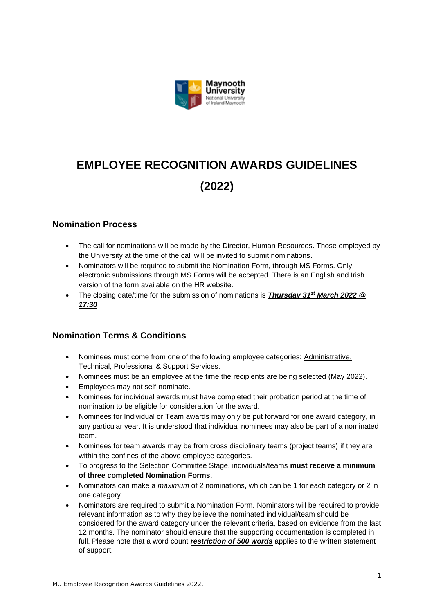

# **EMPLOYEE RECOGNITION AWARDS GUIDELINES (2022)**

# **Nomination Process**

- The call for nominations will be made by the Director, Human Resources. Those employed by the University at the time of the call will be invited to submit nominations.
- Nominators will be required to submit the Nomination Form, through MS Forms. Only electronic submissions through MS Forms will be accepted. There is an English and Irish version of the form available on the HR website.
- The closing date/time for the submission of nominations is *Thursday 31st March 2022 @ 17:30*

# **Nomination Terms & Conditions**

- Nominees must come from one of the following employee categories: Administrative, Technical, Professional & Support Services.
- Nominees must be an employee at the time the recipients are being selected (May 2022).
- Employees may not self-nominate.
- Nominees for individual awards must have completed their probation period at the time of nomination to be eligible for consideration for the award.
- Nominees for Individual or Team awards may only be put forward for one award category, in any particular year. It is understood that individual nominees may also be part of a nominated team.
- Nominees for team awards may be from cross disciplinary teams (project teams) if they are within the confines of the above employee categories.
- To progress to the Selection Committee Stage, individuals/teams **must receive a minimum of three completed Nomination Forms**.
- Nominators can make a *maximum* of 2 nominations, which can be 1 for each category or 2 in one category.
- Nominators are required to submit a Nomination Form. Nominators will be required to provide relevant information as to why they believe the nominated individual/team should be considered for the award category under the relevant criteria, based on evidence from the last 12 months. The nominator should ensure that the supporting documentation is completed in full. Please note that a word count *restriction of 500 words* applies to the written statement of support.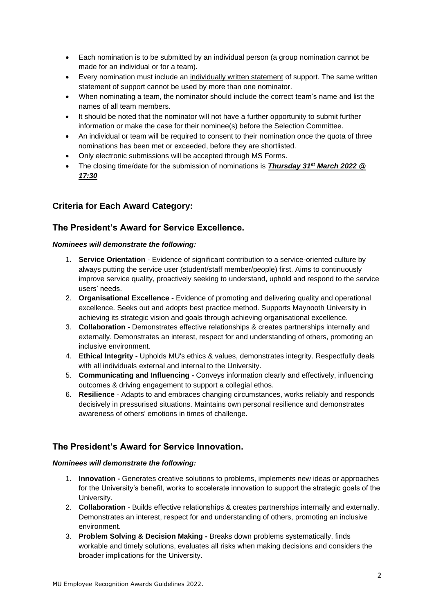- Each nomination is to be submitted by an individual person (a group nomination cannot be made for an individual or for a team).
- Every nomination must include an individually written statement of support. The same written statement of support cannot be used by more than one nominator.
- When nominating a team, the nominator should include the correct team's name and list the names of all team members.
- It should be noted that the nominator will not have a further opportunity to submit further information or make the case for their nominee(s) before the Selection Committee.
- An individual or team will be required to consent to their nomination once the quota of three nominations has been met or exceeded, before they are shortlisted.
- Only electronic submissions will be accepted through MS Forms.
- The closing time/date for the submission of nominations is *Thursday 31st March 2022 @ 17:30*

# **Criteria for Each Award Category:**

## **The President's Award for Service Excellence.**

#### *Nominees will demonstrate the following:*

- 1. **Service Orientation** Evidence of significant contribution to a service-oriented culture by always putting the service user (student/staff member/people) first. Aims to continuously improve service quality, proactively seeking to understand, uphold and respond to the service users' needs.
- 2. **Organisational Excellence -** Evidence of promoting and delivering quality and operational excellence. Seeks out and adopts best practice method. Supports Maynooth University in achieving its strategic vision and goals through achieving organisational excellence.
- 3. **Collaboration -** Demonstrates effective relationships & creates partnerships internally and externally. Demonstrates an interest, respect for and understanding of others, promoting an inclusive environment.
- 4. **Ethical Integrity -** Upholds MU's ethics & values, demonstrates integrity. Respectfully deals with all individuals external and internal to the University.
- 5. **Communicating and Influencing -** Conveys information clearly and effectively, influencing outcomes & driving engagement to support a collegial ethos.
- 6. **Resilience**  Adapts to and embraces changing circumstances, works reliably and responds decisively in pressurised situations. Maintains own personal resilience and demonstrates awareness of others' emotions in times of challenge.

## **The President's Award for Service Innovation.**

#### *Nominees will demonstrate the following:*

- 1. **Innovation -** Generates creative solutions to problems, implements new ideas or approaches for the University's benefit, works to accelerate innovation to support the strategic goals of the University.
- 2. **Collaboration** Builds effective relationships & creates partnerships internally and externally. Demonstrates an interest, respect for and understanding of others, promoting an inclusive environment.
- 3. **Problem Solving & Decision Making -** Breaks down problems systematically, finds workable and timely solutions, evaluates all risks when making decisions and considers the broader implications for the University.